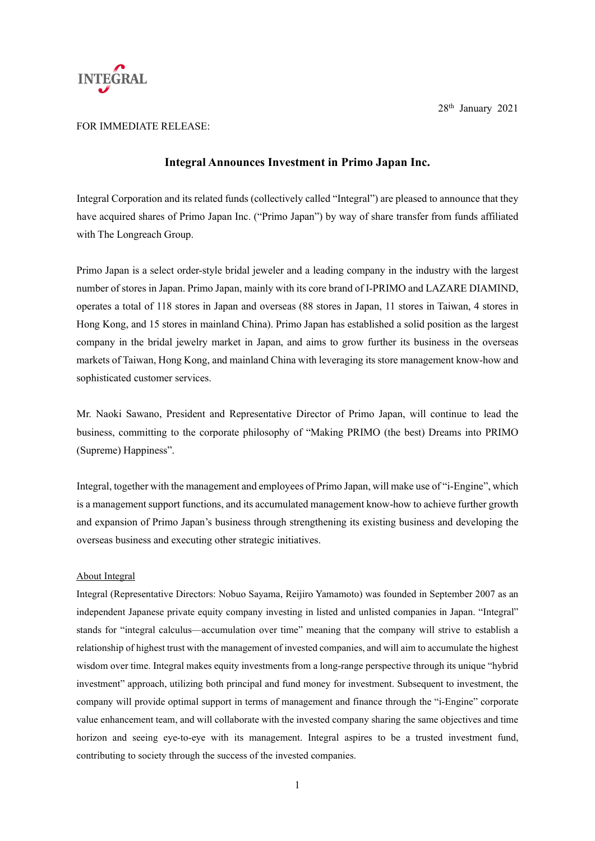

## FOR IMMEDIATE RELEASE:

## **Integral Announces Investment in Primo Japan Inc.**

Integral Corporation and its related funds (collectively called "Integral") are pleased to announce that they have acquired shares of Primo Japan Inc. ("Primo Japan") by way of share transfer from funds affiliated with The Longreach Group.

Primo Japan is a select order-style bridal jeweler and a leading company in the industry with the largest number of stores in Japan. Primo Japan, mainly with its core brand of I-PRIMO and LAZARE DIAMIND, operates a total of 118 stores in Japan and overseas (88 stores in Japan, 11 stores in Taiwan, 4 stores in Hong Kong, and 15 stores in mainland China). Primo Japan has established a solid position as the largest company in the bridal jewelry market in Japan, and aims to grow further its business in the overseas markets of Taiwan, Hong Kong, and mainland China with leveraging its store management know-how and sophisticated customer services.

Mr. Naoki Sawano, President and Representative Director of Primo Japan, will continue to lead the business, committing to the corporate philosophy of "Making PRIMO (the best) Dreams into PRIMO (Supreme) Happiness".

Integral, together with the management and employees of Primo Japan, will make use of "i-Engine", which is a management support functions, and its accumulated management know-how to achieve further growth and expansion of Primo Japan's business through strengthening its existing business and developing the overseas business and executing other strategic initiatives.

## About Integral

Integral (Representative Directors: Nobuo Sayama, Reijiro Yamamoto) was founded in September 2007 as an independent Japanese private equity company investing in listed and unlisted companies in Japan. "Integral" stands for "integral calculus—accumulation over time" meaning that the company will strive to establish a relationship of highest trust with the management of invested companies, and will aim to accumulate the highest wisdom over time. Integral makes equity investments from a long-range perspective through its unique "hybrid investment" approach, utilizing both principal and fund money for investment. Subsequent to investment, the company will provide optimal support in terms of management and finance through the "i-Engine" corporate value enhancement team, and will collaborate with the invested company sharing the same objectives and time horizon and seeing eye-to-eye with its management. Integral aspires to be a trusted investment fund, contributing to society through the success of the invested companies.